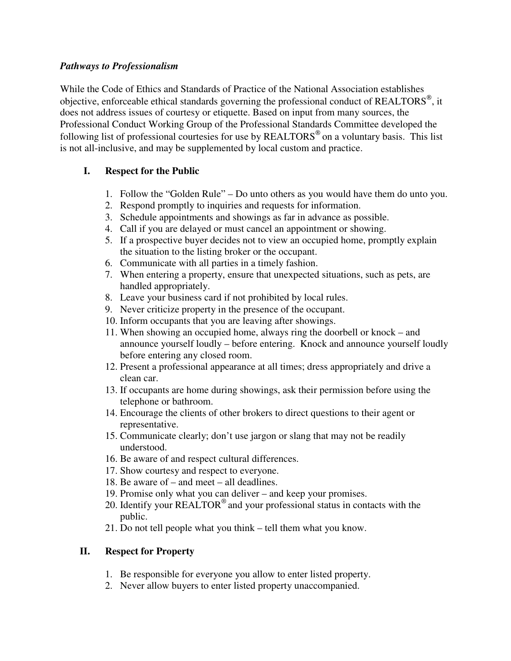## *Pathways to Professionalism*

While the Code of Ethics and Standards of Practice of the National Association establishes objective, enforceable ethical standards governing the professional conduct of REALTORS $^{\circledast}$ , it does not address issues of courtesy or etiquette. Based on input from many sources, the Professional Conduct Working Group of the Professional Standards Committee developed the following list of professional courtesies for use by REALTORS<sup>®</sup> on a voluntary basis. This list is not all-inclusive, and may be supplemented by local custom and practice.

## **I. Respect for the Public**

- 1. Follow the "Golden Rule" Do unto others as you would have them do unto you.
- 2. Respond promptly to inquiries and requests for information.
- 3. Schedule appointments and showings as far in advance as possible.
- 4. Call if you are delayed or must cancel an appointment or showing.
- 5. If a prospective buyer decides not to view an occupied home, promptly explain the situation to the listing broker or the occupant.
- 6. Communicate with all parties in a timely fashion.
- 7. When entering a property, ensure that unexpected situations, such as pets, are handled appropriately.
- 8. Leave your business card if not prohibited by local rules.
- 9. Never criticize property in the presence of the occupant.
- 10. Inform occupants that you are leaving after showings.
- 11. When showing an occupied home, always ring the doorbell or knock and announce yourself loudly – before entering. Knock and announce yourself loudly before entering any closed room.
- 12. Present a professional appearance at all times; dress appropriately and drive a clean car.
- 13. If occupants are home during showings, ask their permission before using the telephone or bathroom.
- 14. Encourage the clients of other brokers to direct questions to their agent or representative.
- 15. Communicate clearly; don't use jargon or slang that may not be readily understood.
- 16. Be aware of and respect cultural differences.
- 17. Show courtesy and respect to everyone.
- 18. Be aware of and meet all deadlines.
- 19. Promise only what you can deliver and keep your promises.
- 20. Identify your REALTOR<sup>®</sup> and your professional status in contacts with the public.
- 21. Do not tell people what you think tell them what you know.

## **II. Respect for Property**

- 1. Be responsible for everyone you allow to enter listed property.
- 2. Never allow buyers to enter listed property unaccompanied.